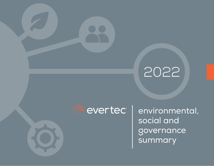## 2022



Pevertec environmental, social and governance summary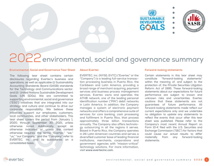



## 2022 environmental, social and governance summary

#### **Environmental, Social and Governance Tear Sheet About Evertec Forward-looking statements**

The following tear sheet contains certain disclosures regarding Evertec's business and operations, as well as applicable (i) Sustainability Accounting Standards Board (SASB) standards for the Technology and Communications sector, and (ii) United Nations Sustainable Development Goals (UN SDGs). We are committed to supporting environmental, social and governance ("ESG") initiatives that are integrated into our strategy and culture and continue to drive our corporate responsibility. We believe these initiatives support our employees, customers, local communities, and other stakeholders. This tear sheet covers the period from January 1, 2020, through September 30, 2021, unless otherwise noted. Additionally, except as otherwise indicated or unless the context otherwise requires, the terms "Evertec," "we," "us," "our Company," and the "Company" refer to EVERTEC, Inc. and its subsidiaries on a consolidated basis.

EVERTEC, Inc. (NYSE: EVTC) ("Evertec" or the "Company") is a leading full-service transaction processing business in Puerto Rico, the Caribbean and Latin America, providing a broad range of merchant acquiring, payment services and business process management services. Evertec owns and operates the ATH® network, one of the leading personal identification number ("PIN") debit networks in Latin America. In addition, the Company manages a system of electronic payment networks and offers a comprehensive suite of services for core banking, cash processing and fulfillment in Puerto Rico, that process approximately three billion transactions annually. The Company also offers technology outsourcing in all the regions it serves. Based in Puerto Rico, the Company operates in 26 Latin American countries and serves a diversified customer base of leading financial institutions, merchants, corporations and government agencies with "mission-critical" technology solutions. For more information, visit **www.evertecinc.com**.

Certain statements in this tear sheet may constitute "forward-looking statements" within the meaning of, and subject to the protection of, the Private Securities Litigation Reform Act of 1995. These forward-looking statements about our expectations for future performance are subject to known and unknown risks and uncertainties. Evertec cautions that these statements are not guarantees of future performance. All forward-looking statements made reflect our current expectations only and we undertake no obligation to update any statements to reflect the events that occur after this tear sheet was published. Please refer to the Company's most recent Annual Report on Form 10-K filed with the U.S. Securities and Exchange Commission ("SEC") for factors that could cause our actual results to differ materially from any forward-looking statements.

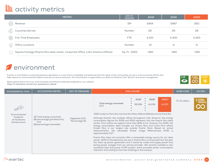#### **III** activity metrics

|               | <b>METRIC</b>                                                                     | UNIT OF<br><b>MEASURE</b> | 2018  | 2019  | 2020  |
|---------------|-----------------------------------------------------------------------------------|---------------------------|-------|-------|-------|
| $\circledast$ | Revenue                                                                           | \$M                       | \$454 | \$487 | \$511 |
|               | <b>Countries Served</b>                                                           | Number                    | 26    | 26    | 26    |
|               | Full-Time Employees                                                               | FTE                       | 2.100 | 2.300 | 2,400 |
|               | <b>Office Locations</b>                                                           | Number                    | 10    | 11    | 11    |
| 12)           | Square Footage (Puerto Rico data center, Corporate Office, Latin America Offices) | Sq. Ft. (000)             | ~100  | ~100  | ~100  |

#### **Z**environment

Evertec is committed to conducting business operations in a way that is compatible and balanced with the needs of the communities we serve, and to promote efforts that help reduce our environmental footprint and use of natural resources. This commitment is supported by our Board of Directors (the "Board") and senior management.

Below please find a link to our environmental commitment statement published on our website: **https://ir.evertecinc.com/en/our-purpose/our-planet**



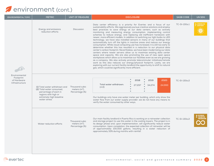#### **P**environment (cont.)

| <b>ENVIRONMENTAL TOPIC</b>                                  | <b>METRIC</b>                                                                                                                                          | <b>UNIT OF MEASURE</b>                              | <b>DISCLOSURE</b>                                                                                                                                                                                                                                                                                                                                                                                                                                                                                                                                                                                                                                                                                                                                                                                                                                                                                                                                                                                                                                                                                                                                                                                                                                                                                                                                                                          | <b>SASB CODE</b> | <b>UN SDG</b>                                         |
|-------------------------------------------------------------|--------------------------------------------------------------------------------------------------------------------------------------------------------|-----------------------------------------------------|--------------------------------------------------------------------------------------------------------------------------------------------------------------------------------------------------------------------------------------------------------------------------------------------------------------------------------------------------------------------------------------------------------------------------------------------------------------------------------------------------------------------------------------------------------------------------------------------------------------------------------------------------------------------------------------------------------------------------------------------------------------------------------------------------------------------------------------------------------------------------------------------------------------------------------------------------------------------------------------------------------------------------------------------------------------------------------------------------------------------------------------------------------------------------------------------------------------------------------------------------------------------------------------------------------------------------------------------------------------------------------------------|------------------|-------------------------------------------------------|
|                                                             | Energy and emissions<br>reduction efforts                                                                                                              | <b>Discussion</b>                                   | Data center efficiency is a priority for Evertec and a focus of our<br>sustainability efforts. We aggressively pursue creative solutions and employ<br>best practices to save energy at our data centers, such as actively<br>monitoring and measuring energy consumption, implementing control<br>schemes to reduce energy, and replacing old inefficient hardware with<br>newer, more efficient models. In addition to switching our light bulbs to LED<br>technology, we have also installed sensors in many of our buildings that<br>automatically turn off the lights in inactive areas and reduce our energy<br>consumption. While cloud computing use has increased, it is still too early to<br>determine whether this has resulted in a reduction to our physical data<br>center's carbon footprint. Nevertheless, we have been modernizing our data<br>centers where newer servers allow us to maximize existing data center<br>space and capacity. We are also promoting the use of new open space<br>workplaces which allow us to maximize our facilities even as we are growing<br>as a company. We also actively promote telecommuter initiatives/remote<br>work as this also reduces our energy/physical footprint. Lastly, we are<br>exploring with our current facility landlord the opportunity to shift to natural<br>gas, which could be significantly more efficient. | TC-SI-130a.1     |                                                       |
| Environmental<br>Footprint<br>of Hardware<br>Infrastructure | (1) Total water withdrawn and<br>(2) Total water consumed,<br>percentage of each in<br>regions with high or<br>extremely high baseline<br>water stress | Thousand cubic<br>meters $(m3)$ ,<br>Percentage (%) | 2018<br>2019<br>2020<br>Total water withdrawn:<br>27,297<br>34,274<br>24,993<br>(m3)<br>$\bullet$<br>Our buildings only have one water meter per building, which only show the<br>water flow from our water supply provider; we do not have any means to<br>verify the water consumed by other ways.                                                                                                                                                                                                                                                                                                                                                                                                                                                                                                                                                                                                                                                                                                                                                                                                                                                                                                                                                                                                                                                                                       | TC-SI-130a.2     |                                                       |
|                                                             | Water reduction efforts                                                                                                                                | Thousand cubic<br>meters $(m3)$ ,<br>Percentage (%) | Our main facility landlord in Puerto Rico is working on a rainwater collection<br>and storage project to use this water in the cooling towers. The project is in<br>its design phase and, upon implementation, will significantly reduce water<br>consumption. Upon completion, the expected collection of rainwater will be<br>of approximately 100,000 gallons, resulting in a water reduction of<br>approximately 33% during months with rainfall.                                                                                                                                                                                                                                                                                                                                                                                                                                                                                                                                                                                                                                                                                                                                                                                                                                                                                                                                      | TC-SI-130a.2     | <b>2</b> RESPONSIBLE<br>CONSUMPTION<br>AND PRODUCTION |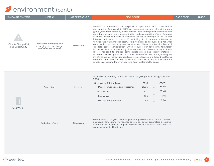#### **P**environment (cont.)

| <b>ENVIRONMENTAL TOPIC</b>                    | <b>METRIC</b>                                                                     | <b>UNIT OF MEASURE</b> | <b>DISCLOSURE</b>                                                                                                                                                                                                                                                                                                                                                                                                                                                                                                                                                                                                                                                                                                                                                                                                                                                                                                                                                                                                                                                                                                                                                                                        |                                                                                  | <b>SASB CODE</b> | <b>UN SDG</b> |
|-----------------------------------------------|-----------------------------------------------------------------------------------|------------------------|----------------------------------------------------------------------------------------------------------------------------------------------------------------------------------------------------------------------------------------------------------------------------------------------------------------------------------------------------------------------------------------------------------------------------------------------------------------------------------------------------------------------------------------------------------------------------------------------------------------------------------------------------------------------------------------------------------------------------------------------------------------------------------------------------------------------------------------------------------------------------------------------------------------------------------------------------------------------------------------------------------------------------------------------------------------------------------------------------------------------------------------------------------------------------------------------------------|----------------------------------------------------------------------------------|------------------|---------------|
| <b>Climate Change Risk</b><br>and Opportunity | Process for identifying and<br>managing climate change<br>risks and opportunities | Discussion             | Evertec is committed to responsible operations and conscientious<br>consumption. As a result, in 2007 we assembled our internal environmental<br>group (Escuadrón Naranja), which actively looks to adopt new technologies to<br>contribute towards our energy reduction and sustainability efforts. Examples<br>of these initiatives include: (i) switching lighting technology to LED in both<br>internal and external areas, (ii) switching to lithium-ion batteries for<br>UPS/backup which makes battery recycling easier and reduces acid risk when<br>compared to our previously used batteries, and (iii) data center initiatives such<br>as data center virtualization which reduces our long-term technology<br>hardware disposal and recycling. Furthermore, our cafeteria vendor in Puerto<br>Rico is required to provide compostable plates and cutlery, instead of<br>non-compostable options, and eliminate the use of straws, among other green<br>initiatives. As our corporate headquarters are located in a leased facility, we<br>maintain communication with our landlord to ensure its on-site environmental<br>practices are aligned to Evertec's long-term sustainability goals. |                                                                                  |                  |               |
|                                               | Generation                                                                        | Metric tons            | Included is a summary of our solid waste recycling efforts during 2019 and<br>2020:<br>Solid Waste (Metric Tons)<br>• Paper, Newspapers and Magazines<br>• Cardboard<br>• Electronics<br>• Plastics and Aluminum                                                                                                                                                                                                                                                                                                                                                                                                                                                                                                                                                                                                                                                                                                                                                                                                                                                                                                                                                                                         | 2020<br>2019<br>184.35<br>209.7<br>27.46<br>25.0<br>15.01<br>16.7<br>2.96<br>6.9 |                  |               |
| Solid Waste                                   | Reduction efforts                                                                 | <b>Discussion</b>      | We continue to recycle oil-based products previously used in our cafeteria<br>and power generators. The recycled oil from our power generators is recycled<br>by our vendors who use it to produce other oils and oil by-products such as<br>grease/mechanical lubricants.                                                                                                                                                                                                                                                                                                                                                                                                                                                                                                                                                                                                                                                                                                                                                                                                                                                                                                                               |                                                                                  |                  |               |

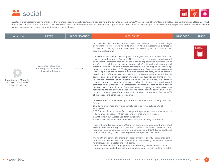



Evertec is a strategic industry partner for the financial industry, public sector, and key clients in the geographies we serve. We are proud of our internal employer brand, Generación Naranja, which empowers our diverse and multi-cultural workforce to innovate and seek continuous development opportunities across Evertec. This unique formula allows our employees to contribute towards the overall success of our clients, communities, and shareholders.

| <b>SOCIAL TOPIC</b>                                                   | <b>METRIC</b>                                                                | <b>UNIT OF MEASURE</b> | <b>DISCLOSURE</b>                                                                                                                                                                                                                                                                                                                                                                                                                                                                                                                                                                                                                                                                                                                                                                                                                                                                                                                                                                                                                                                                                                                                                                                                                                                                                                                                                                                                                                                                                                                                                                                                                                                                                                                                                                                                                                                                                                                                                                                                                                                                                                                                                                                                                                                                                                                                                                                                                                                                                                                                                                                                                                                 | <b>SASB CODE</b> | <b>UN SDG</b> |
|-----------------------------------------------------------------------|------------------------------------------------------------------------------|------------------------|-------------------------------------------------------------------------------------------------------------------------------------------------------------------------------------------------------------------------------------------------------------------------------------------------------------------------------------------------------------------------------------------------------------------------------------------------------------------------------------------------------------------------------------------------------------------------------------------------------------------------------------------------------------------------------------------------------------------------------------------------------------------------------------------------------------------------------------------------------------------------------------------------------------------------------------------------------------------------------------------------------------------------------------------------------------------------------------------------------------------------------------------------------------------------------------------------------------------------------------------------------------------------------------------------------------------------------------------------------------------------------------------------------------------------------------------------------------------------------------------------------------------------------------------------------------------------------------------------------------------------------------------------------------------------------------------------------------------------------------------------------------------------------------------------------------------------------------------------------------------------------------------------------------------------------------------------------------------------------------------------------------------------------------------------------------------------------------------------------------------------------------------------------------------------------------------------------------------------------------------------------------------------------------------------------------------------------------------------------------------------------------------------------------------------------------------------------------------------------------------------------------------------------------------------------------------------------------------------------------------------------------------------------------------|------------------|---------------|
| Recruiting and Managing<br>a Global, Diverse and<br>Skilled Workforce | Description of policies<br>and programs in place for<br>employee development | Discussion             | Our people are our most valued asset. We believe that to have a high<br>performing workforce we need to invest in their development. Evertec is<br>focused on providing our employees with the necessary tools to continue their<br>career development.<br>Evertec is focused on providing our employees the tools needed for their<br>career development. Evertec University, our internal professional<br>development platform, features all the learning opportunities available to our<br>workforce, providing a curriculum composed of both online classroom and<br>external trainings. Within Evertec University, we developed a leadership<br>program that includes a 360-degree assessment, feed forward sessions, a<br>leadership on-boarding program and a leadership academy. We also provide<br>health and safety educational sessions in liaison with external health<br>professionals as part of our health and wellness education programs efforts.<br>To further promote equal opportunities in the workplace, we offer a<br>reimbursement program for employees who wish to obtain a professional<br>certification or participate in professional courses as part of their career<br>development plan at Evertec. To participate in this program, employees are<br>required to provide detailed evidence of the certification or course and remain<br>as an active employee of the company to receive a repayment of up to 100%<br>of the cost of the certification or course.<br>In 2020, Evertec delivered approximately 26,881 total training hours, as<br>follows:<br>· 21,200 hours of regulatory and compliance trainings applicable to all<br>employees<br>. 1,288 hours of subject-specific trainings to target employees and work teams<br>• 443 hours of onboarding trainings for new hires and new leaders<br>• 1,598 hours in our Evertec Leadership Academy<br>• 2,352 hours of external educational activities and industry conferences<br>Training hours decreased from 2019 given the remote environment and limited<br>external courses during the COVID-19 pandemic. Provided, however, that<br>regulatory and compliance training hours increased in 2020 due to additional<br>requirements being added to our regulatory compliance curriculum.<br>The health and safety of our employees is our highest priority. In response to the<br>COVID-19 pandemic, the Company has taken the following measures to ensure<br>its employees good health and well-being:<br>• Transitioned most of its employees to work remotely since mid-March 2020.<br>Management expects that most of our employees will remain working remotely |                  |               |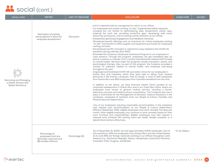| <b>SOCIAL TOPIC</b>                                                          | <b>METRIC</b>                                                                             | <b>UNIT OF MEASURE</b> | <b>DISCLOSURE</b>                                                                                                                                                                                                                                                                                                                                                                                                                                                                                                                                                                                                                                                                                                                                                                                                                                                                                                                                                                                                                                                                                                                                                                                                                                                                                                                                                                                                                                                                                                                                                                                                                                                                                                                                                                                                                                                                                                                                                                                                                                                                                                                                                                                                                                                                                                                                                                                                                                                                                                                                                                                                                                             | <b>SASB CODE</b> | <b>UN SDG</b> |
|------------------------------------------------------------------------------|-------------------------------------------------------------------------------------------|------------------------|---------------------------------------------------------------------------------------------------------------------------------------------------------------------------------------------------------------------------------------------------------------------------------------------------------------------------------------------------------------------------------------------------------------------------------------------------------------------------------------------------------------------------------------------------------------------------------------------------------------------------------------------------------------------------------------------------------------------------------------------------------------------------------------------------------------------------------------------------------------------------------------------------------------------------------------------------------------------------------------------------------------------------------------------------------------------------------------------------------------------------------------------------------------------------------------------------------------------------------------------------------------------------------------------------------------------------------------------------------------------------------------------------------------------------------------------------------------------------------------------------------------------------------------------------------------------------------------------------------------------------------------------------------------------------------------------------------------------------------------------------------------------------------------------------------------------------------------------------------------------------------------------------------------------------------------------------------------------------------------------------------------------------------------------------------------------------------------------------------------------------------------------------------------------------------------------------------------------------------------------------------------------------------------------------------------------------------------------------------------------------------------------------------------------------------------------------------------------------------------------------------------------------------------------------------------------------------------------------------------------------------------------------------------|------------------|---------------|
| Recruiting and Managing<br>a Global, Diverse and<br><b>Skilled Workforce</b> | Description of policies<br>and programs in place for<br>employee development              | <b>Discussion</b>      | until it is deemed safe by management to return to our offices.<br>• For employees and vendor working "on site," implemented safety measures<br>including but not limited to administering daily temperature checks upon<br>entering the work site, providing protective gear, developing safe social<br>distancing workspaces, and increasing overall sanitation at our offices.<br>• Established specialized engagement and feedback initiatives.<br>• Broadened benefit offerings such as incentives for critical employees working<br>"on site" and benefit of office supplies and equipment purchases for employees<br>working remotely.<br>• No employee layoffs, furloughs or reductions in pay related to the COVID-19<br>pandemic during calendar year 2020.<br>• Extended the Company's Employee Assistance Program to our employees in<br>Latin America. Through this program, employees can get immediate help, by<br>phone, in person or virtually, from a variety of professional medical staff focused<br>on mental health. Services under this program include orientation, advice, and<br>psychological therapy. Also, as part of this program, the Company provided a<br>number of webinars related to mental health and employee well-being<br>throughout the year.<br>• Organized and facilitated COVID-19 vaccination clinics for our employees in<br>Puerto Rico and Colombia, which they were able to obtain from medical<br>personnel in the Evertec campuses, free of charge. A total of 300 employees<br>from Puerto Rico and 362 employees from Colombia benefited from the clinic.<br>In addition to the above, we have Evercare Health Clinics located at our<br>corporate headquarters in Puerto Rico and in our Costa Rica office, where our<br>employees have access to general medical services, including a doctor,<br>laboratory services and medical phone consultations. The Company also has in<br>place a Committee for the Management of Domestic Violence Situations in the<br>workplace, composed of members from our People & Culture, Facilities and<br><b>Physical Security Departments.</b><br>Any of our employees requiring reasonable accommodation in the workplace<br>may request such accommodation to our People & Culture Department.<br>Effective September 2021, eligible employees may work remotely five days per<br>month; other eligible employees may continue to work remotely based on their<br>work functions and responsibilities. Eligible employees may also request a<br>reduced work schedule (30 working hours per week), flexible schedule, or a<br>special leave license without pay. |                  |               |
|                                                                              | Percentage of<br>employees that are:<br>(1) foreign nationals and<br>(2) located offshore | Percentage (%)         | As of December 31, 2020, we had approximately 2,500 employees. Out of<br>this workforce, 55% are employees from Puerto Rico and the United States<br>(U.S.) and 45% are foreign nationals working in our offices throughout Latin<br>America (i.e., Dominican Republic, Mexico, Guatemala, Costa Rica, Panama,<br>Colombia, Chile, Uruguay, and Brazil).                                                                                                                                                                                                                                                                                                                                                                                                                                                                                                                                                                                                                                                                                                                                                                                                                                                                                                                                                                                                                                                                                                                                                                                                                                                                                                                                                                                                                                                                                                                                                                                                                                                                                                                                                                                                                                                                                                                                                                                                                                                                                                                                                                                                                                                                                                      | TC-SI-330a.1     |               |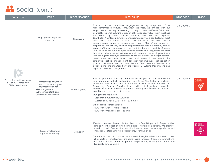| <b>SOCIAL TOPIC</b>                                                   | <b>METRIC</b>                                                                                                                                    | <b>UNIT OF MEASURE</b> | <b>DISCLOSURE</b>                                                                                                                                                                                                                                                                                                                                                                                                                                                                                                                                                                                                                                                                                                                                                                                                                                                                                                                                                                                                                                                                                                                                                                                                                                                                                                                      | <b>SASB CODE</b> | <b>UN SDG</b> |
|-----------------------------------------------------------------------|--------------------------------------------------------------------------------------------------------------------------------------------------|------------------------|----------------------------------------------------------------------------------------------------------------------------------------------------------------------------------------------------------------------------------------------------------------------------------------------------------------------------------------------------------------------------------------------------------------------------------------------------------------------------------------------------------------------------------------------------------------------------------------------------------------------------------------------------------------------------------------------------------------------------------------------------------------------------------------------------------------------------------------------------------------------------------------------------------------------------------------------------------------------------------------------------------------------------------------------------------------------------------------------------------------------------------------------------------------------------------------------------------------------------------------------------------------------------------------------------------------------------------------|------------------|---------------|
| Recruiting and Managing<br>a Global, Diverse and<br>Skilled Workforce | Employee engagement<br>discussion                                                                                                                | Discussion             | Evertec considers employee engagement a key component of its<br>high-performance culture. Throughout the year, we engage with our<br>employees in a variety of ways (e.g., through content on Evertec's intranet,<br>bi-weekly regional bulletins, digital in-office signage, virtual team meetings<br>for all-staff, quarterly regional meetings, and local and corporate<br>townhalls). An internal employee engagement survey is conducted at least<br>once every two years. In 2020, we conducted our most recent<br>comprehensive employee engagement survey; 85% of our employees<br>responded to the survey-the highest participation rate in Company history.<br>As part of the survey, employees provided feedback on a variety of topics.<br>The results of the survey helped Evertec leaders gain insight into the most<br>important drivers related to the work environment of our employees. Areas<br>with the highest employee satisfaction were our business and organizational<br>development, collaboration, and work environment. In response to this<br>employee feedback, management, together with employees, defines action<br>plans to address concerns or potential areas of improvement. Completion of<br>action plans are monitored by the People & Culture Department and<br>reported to senior management. | TC-SI_330a.2     |               |
|                                                                       | Percentage of gender<br>and racial/ethnic group<br>representation for:<br>(1) management,<br>(2) technical staff, and<br>(3) all other employees | Percentage (%)         | Evertec promotes diversity and inclusion as part of our formula for<br>innovation and a high performing work force. We foster an inclusive<br>workforce to encourage diversity of thought. Evertec has been named to the<br>Bloomberg Gender Equality Index, which distinguishes companies<br>committed to transparency in gender reporting and advancing women's<br>equality, for three consecutive years.<br>Our gender breakdown:<br>• Leadership: 41% female/59% male<br>• Evertec population: 37% female/63% male<br>Ethnic group representation:<br>• 99% of our work force is Hispanic<br>• 99% of our managers are Hispanic                                                                                                                                                                                                                                                                                                                                                                                                                                                                                                                                                                                                                                                                                                    | TC-SI-330a.3     | 5 GENDER      |
|                                                                       | <b>Equal Employment</b><br>Opportunity Policy                                                                                                    | Discussion             | Evertec pursues a diverse talent pool and is an Equal Opportunity Employer that<br>aims to hire the best-qualified candidates for available positions. We promote<br>based on merit. Evertec does not discriminate based on race, gender, sexual<br>orientation, veteran status, disability and/or ethnic origin.<br>Our non-discrimination policies are enforced throughout the Company and cover<br>all aspects of employment, including hiring process, transfers, promotions,<br>demotions, training and development, compensation, eligibility for benefits and<br>dismissals, among others.                                                                                                                                                                                                                                                                                                                                                                                                                                                                                                                                                                                                                                                                                                                                      |                  | 10 MODUCES    |

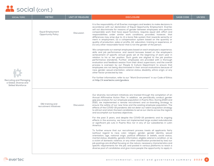| <b>SOCIAL TOPIC</b>                                                          | <b>METRIC</b>                                        | <b>UNIT OF MEASURE</b> | <b>DISCLOSURE</b>                                                                                                                                                                                                                                                                                                                                                                                                                                                                                                                                                                                                                                                                                                                                          | <b>SASB CODE</b> | <b>UN SDG</b> |
|------------------------------------------------------------------------------|------------------------------------------------------|------------------------|------------------------------------------------------------------------------------------------------------------------------------------------------------------------------------------------------------------------------------------------------------------------------------------------------------------------------------------------------------------------------------------------------------------------------------------------------------------------------------------------------------------------------------------------------------------------------------------------------------------------------------------------------------------------------------------------------------------------------------------------------------|------------------|---------------|
|                                                                              | <b>Equal Employment</b><br><b>Opportunity Policy</b> | <b>Discussion</b>      | It is the responsibility of all Evertec managers and leaders to make decisions in<br>accordance with our declaration of Equal Opportunity Employment. Evertec<br>will not discriminate for reasons of gender between employees who perform<br>comparable work that have equal functions, requires equal skill, effort and<br>responsibilities under similar work conditions; provided, however, that<br>differences may arise due to: (i) a bona fide system that rewards seniority or<br>merit in employment, (ii) a compensation system based on the quantity or<br>quality of production, sales or profits, (iii) education, training or experience, or<br>(iv) any other reasonable factor that is not the gender of the person.                       |                  |               |
|                                                                              |                                                      |                        | We compensate our exempt employees based on each employee's experience,<br>skills and job performance, and award bonuses based on the employee's<br>achievement of specific annual goals set at the beginning of each year in<br>relation to his or her position. Such goals are aligned to the job position<br>performance standards. Further, employees are provided with a thorough<br>evaluation and feedback session from their direct supervisors, and the overall<br>process is overseen by our People & Culture Department to ensure that<br>employees are not being discriminated in their annual evaluations because of<br>race, gender, sexual orientation, veteran status, disability, ethnic origin, or any<br>other factor protected by law. |                  |               |
| Recruiting and Managing<br>a Global, Diverse and<br><b>Skilled Workforce</b> |                                                      |                        | For further information, refer to our "Work Environment" in our Code of Ethics<br>at http://ir.evertecinc.com/govdocs.                                                                                                                                                                                                                                                                                                                                                                                                                                                                                                                                                                                                                                     |                  |               |
|                                                                              | D&I training and<br>recruitment initiatives          | <b>Discussion</b>      | Our diversity recruitment initiatives are tracked through the completion of an<br>Annual Affirmative Action Plan. In addition, we periodically conduct gender<br>gap pay analysis for our employee population in Puerto Rico. During 2020 and<br>2021, we implemented a remote recruitment and on-boarding strategy to<br>ensure the safety of our new hires and the existing employee population. The<br>effects of the COVID-19 pandemic did not deter our talent acquisition strategy<br>to attract and retain the best candidates to serve our clients across the regions<br>and accomplish our business objectives.<br>For the past 3 years, and despite the COVID-19 pandemic and its ongoing                                                        |                  |               |
|                                                                              |                                                      |                        | effects in the economy, we have not implemented large-scaled redundancies<br>or significant job cuts in Puerto Rico nor in any of our subsidiaries in Latin<br>America.                                                                                                                                                                                                                                                                                                                                                                                                                                                                                                                                                                                    |                  |               |
|                                                                              |                                                      |                        | To further ensure that our recruitment process treats all applicants fairly<br>(without regard to race, color, religion, gender, gender identity, sexual<br>orientation, age, national origin, political affiliation or beliefs, social status,<br>marital status, disability, genetic information, eligible veteran's condition, or as<br>a victim of domestic violence, or any other classification protected by law) our<br>job postings are drafted focusing on the nature, necessary characteristics and<br>specific requirements for the job; and posted in various platforms to reach a<br>diverse pool of candidates and give more people the opportunity to apply in                                                                              |                  |               |
|                                                                              |                                                      |                        |                                                                                                                                                                                                                                                                                                                                                                                                                                                                                                                                                                                                                                                                                                                                                            |                  |               |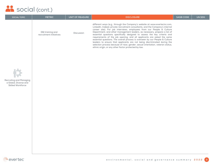| <b>SOCIAL TOPIC</b>                                                   | <b>METRIC</b>                               | UNIT OF MEASURE | <b>DISCLOSURE</b>                                                                                                                                                                                                                                                                                                                                                                                                                                                                                                                                                                                                                                                                                                                                                             | <b>SASB CODE</b> | UN SDG |
|-----------------------------------------------------------------------|---------------------------------------------|-----------------|-------------------------------------------------------------------------------------------------------------------------------------------------------------------------------------------------------------------------------------------------------------------------------------------------------------------------------------------------------------------------------------------------------------------------------------------------------------------------------------------------------------------------------------------------------------------------------------------------------------------------------------------------------------------------------------------------------------------------------------------------------------------------------|------------------|--------|
|                                                                       | D&I training and<br>recruitment initiatives | Discussion      | different ways (e.g., through the Company's website at www.evertecinc.com,<br>LinkedIn, Indeed, private recruitment consultants, and the Company's internal<br>career site). For job interviews, employees from our People & Culture<br>Department, and other management leaders, as necessary, prepare a list of<br>essential questions specifically designed to assess the key criteria and<br>requirements of the job opening, and all applicants are asked the same<br>essential questions. The overall process is overseen by our People & Culture<br>leaders to ensure that applicants are not being discriminated during the<br>selection process because of race, gender, sexual orientation, veteran status,<br>ethnic origin, or any other factor protected by law. |                  |        |
|                                                                       |                                             |                 |                                                                                                                                                                                                                                                                                                                                                                                                                                                                                                                                                                                                                                                                                                                                                                               |                  |        |
|                                                                       |                                             |                 |                                                                                                                                                                                                                                                                                                                                                                                                                                                                                                                                                                                                                                                                                                                                                                               |                  |        |
| Recruiting and Managing<br>a Global, Diverse and<br>Skilled Workforce |                                             |                 |                                                                                                                                                                                                                                                                                                                                                                                                                                                                                                                                                                                                                                                                                                                                                                               |                  |        |
|                                                                       |                                             |                 |                                                                                                                                                                                                                                                                                                                                                                                                                                                                                                                                                                                                                                                                                                                                                                               |                  |        |
|                                                                       |                                             |                 |                                                                                                                                                                                                                                                                                                                                                                                                                                                                                                                                                                                                                                                                                                                                                                               |                  |        |
|                                                                       |                                             |                 |                                                                                                                                                                                                                                                                                                                                                                                                                                                                                                                                                                                                                                                                                                                                                                               |                  |        |
|                                                                       |                                             |                 |                                                                                                                                                                                                                                                                                                                                                                                                                                                                                                                                                                                                                                                                                                                                                                               |                  |        |
|                                                                       |                                             |                 |                                                                                                                                                                                                                                                                                                                                                                                                                                                                                                                                                                                                                                                                                                                                                                               |                  |        |
|                                                                       |                                             |                 |                                                                                                                                                                                                                                                                                                                                                                                                                                                                                                                                                                                                                                                                                                                                                                               |                  |        |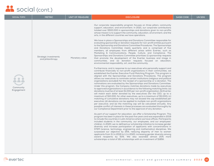| <b>SOCIAL TOPIC</b>     | <b>METRIC</b>                             | <b>UNIT OF MEASURE</b> | <b>DISCLOSURE</b>                                                                                                                                                                                                                                                                                                                                                                                                                                                                                                                                                                                                                                                                                                                                                                                                                                                                                                                                                                                                                                                                                                                                                                                                                                                                                                                                                                                                                                                                                                                                                                                                                                                                                                                                                                                                                                                                                                                                                                                                                                                                                                                                                                                                                                                                                                                                                                                                                                                                                                                                                                                                                                                                                                                                                                                                                                                                                                                                                                                                                                                                                                                                                                                                                                                                                                                 | <b>SASB CODE</b> | <b>UN SDG</b> |
|-------------------------|-------------------------------------------|------------------------|-----------------------------------------------------------------------------------------------------------------------------------------------------------------------------------------------------------------------------------------------------------------------------------------------------------------------------------------------------------------------------------------------------------------------------------------------------------------------------------------------------------------------------------------------------------------------------------------------------------------------------------------------------------------------------------------------------------------------------------------------------------------------------------------------------------------------------------------------------------------------------------------------------------------------------------------------------------------------------------------------------------------------------------------------------------------------------------------------------------------------------------------------------------------------------------------------------------------------------------------------------------------------------------------------------------------------------------------------------------------------------------------------------------------------------------------------------------------------------------------------------------------------------------------------------------------------------------------------------------------------------------------------------------------------------------------------------------------------------------------------------------------------------------------------------------------------------------------------------------------------------------------------------------------------------------------------------------------------------------------------------------------------------------------------------------------------------------------------------------------------------------------------------------------------------------------------------------------------------------------------------------------------------------------------------------------------------------------------------------------------------------------------------------------------------------------------------------------------------------------------------------------------------------------------------------------------------------------------------------------------------------------------------------------------------------------------------------------------------------------------------------------------------------------------------------------------------------------------------------------------------------------------------------------------------------------------------------------------------------------------------------------------------------------------------------------------------------------------------------------------------------------------------------------------------------------------------------------------------------------------------------------------------------------------------------------------------------|------------------|---------------|
| Community<br>Engagement | Strategic investments<br>and philanthropy | Monetary value         | Our corporate responsibility program focuses on three pillars: community<br>support, education, and environment. In 2021, our corporate contributions<br>totaled over \$500,000 in sponsorships and donations given to non-profits<br>whose mission is to support the community, education, environment, and the<br>arts, in the different countries we have operations.<br>We have in place a Sponsorships and Donations Committee responsible for<br>evaluating sponsorship or donation requests for non-profit entities pursuant<br>to the Sponsorship and Donations Committee Procedures. The Sponsorships<br>and Donations Committee meets quarterly and is comprised of five<br>members, all employees from different areas within Evertec, such as<br>Marketing & Communications, People, Culture, and Compliance. The<br>Sponsorships and Donations Committee prioritizes (i) sponsorship requests<br>that promote the development of the Evertec business and image in<br>communities, and (ii) donation requests focused on education,<br>environmental responsibility, art, and the community.<br>Furthermore, and in response to our executives who personally support and<br>contribute financially to non-profit organizations in their communities, we<br>established the Evertec Executive Fund Matching Program. This program is<br>aligned with the Sponsorships and Donations Procedures. The program<br>allows our executives to nominate certain institutions (religious and political<br>organizations excluded) for the receipt of a sponsorship or a donation. The<br>nominations are evaluated by the Sponsorships and Donations Committee.<br>Under this program, the Company matches donations made by executives<br>to approved organizations in accordance to the following matching limits: (a)<br>donations must be of at least \$1,000 per non-profit organization; (b) Evertec<br>will match each dollar donated by the executives (for the CEO, up to a<br>maximum of \$10,000; for other executives, up to a maximum of \$5,000); (c)<br>matching of cumulative donations may not exceed the cap established per<br>executive; (d) donations can be applied to multiple non-profit organizations<br>per executive; and (e) the matching cap will be calculated annually. Any<br>possible conflict of interests in these processes are evaluated thoroughly by<br>our Compliance Department prior to the approval of any donation.<br>As part of our support for education, we offer a Scholarship Program. This<br>program has been in place for the past five years and was expanded in 2019<br>to include the countries in Latin America where we have offices. Participants<br>included students in the community, our employees, and our employees'<br>children. In 2020, we re-defined our scholarship initiative to increase gender<br>diversity and increase participation of applicants with concentrations in<br>STEM (science, technology, engineering and mathematics) disciplines. We<br>surpassed our objective by 25%, reducing disparity of men to women<br>applicants from 3:1 in 2019 to 1:1 in 2020, increasing gender diversity among<br>award recipients by 50%. We also awarded almost 20% more<br>scholarships-a total of 161 scholarships with an investment of \$185K. |                  |               |

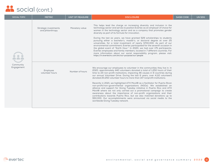| <b>SOCIAL TOPIC</b>     | <b>METRIC</b>                             | <b>UNIT OF MEASURE</b> | <b>DISCLOSURE</b>                                                                                                                                                                                                                                                                                                                                                                                                                                                                                                                                                                                                                                                                                                                                                                                                                                                                                                                                                                | <b>SASB CODE</b> | <b>UN SDG</b> |
|-------------------------|-------------------------------------------|------------------------|----------------------------------------------------------------------------------------------------------------------------------------------------------------------------------------------------------------------------------------------------------------------------------------------------------------------------------------------------------------------------------------------------------------------------------------------------------------------------------------------------------------------------------------------------------------------------------------------------------------------------------------------------------------------------------------------------------------------------------------------------------------------------------------------------------------------------------------------------------------------------------------------------------------------------------------------------------------------------------|------------------|---------------|
|                         | Strategic investments<br>and philanthropy | Monetary value         | This helps lead the charge on increasing diversity and inclusion in the<br>technology sector and serves to position Evertec as an employer of choice for<br>women in the technology sector and as a company that promotes gender<br>diversity as part of its formula for innovation.<br>During the last six years, we have granted 529 scholarships to students<br>pursuing either a bachelor's, master's, or doctoral degree at over 25<br>universities, for a total investment of nearly \$700,000. As part of our<br>environmental commitment, Evertec participated for the seventh occasion in<br>the global event of "Earth Hour." In 2020, we had over 175 participants,<br>Evertec employees and family members, located in 7 different countries. For<br>more information about our social responsibility program, please visit:<br>https://ir.evertecinc.com/en/our-purpose/our-people                                                                                  |                  |               |
| Community<br>Engagement | Employee<br>volunteer hours               | Number of hours        | We encourage our employees to volunteer in the communities they live in. In<br>2020, approximately 440 volunteers donated a total of 1,250 hours of their<br>time to 24 non-profit institutions, impacting 46 causes in 9 countries during<br>our annual Volunteer Drive. During the last 6 years, over 4,110 volunteers<br>donated 20,250 volunteer hours to more than 147 nonprofit institutions.<br>Recently in 2021, we highlighted ATH Movil® as a facilitator for Puerto Rican<br>non-profit/non-governmental organizations (NGOs). We established an<br>alliance and support for Giving Tuesday initiative in Puerto Rico and ATH<br>Móvil® where we not only carried out a promotional campaign to create<br>awareness about the importance of non-profit organizations and their<br>contributions towards Puerto Rico, but we also matched donations up to<br>\$50,000. Our accomplishments were announced via social media to the<br>worldwide Giving Tuesday network. |                  |               |

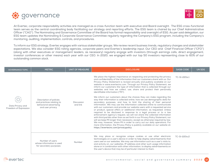



At Evertec, corporate responsibility activities are managed as a cross-function team with executive and Board oversight. The ESG cross-functional team serves as the central coordinating body facilitating our strategy and reporting efforts. The ESG team is chaired by our Chief Administrative Officer ("CAO"). The Nominating and Governance Committee of the Board has formal responsibility and oversight of ESG. As per said delegation, our ESG team updates the Nominating & Corporate Governance Committee regularly regarding the Company's ESG program, including the Company's monitoring, auditing, implementation, controls, and procedures.

To inform our ESG strategy, Evertec engages with various stakeholder groups. We review recent business trends, regulatory changes and stakeholder expectations. We also consider ESG rating agencies, corporate peers and Evertec's leadership input. Our CEO and Chief Financial Officer ("CFO") (along with other executives or management leaders, as necessary) regularly engage with investors (through earnings calls, direct engagement, investor conferences or other means) each year with our CEO. In 2020, we engaged with our top 50 investors representing close to 60% of our outstanding common stock.

| <b>GOVERNANCE TOPIC</b>                   | <b>METRIC</b>                                                                                      | <b>UNIT OF MEASURE</b> | <b>DISCLOSURE</b>                                                                                                                                                                                                                                                                                                                                                                                                                                                                                                                                                                                                                                                                                                                                                                                                                                                                                                                                                                                                                                                                                                                                                                                                                                                                                                                                                                                                                                                     | <b>SASB CODE</b> | <b>UN SDG</b> |
|-------------------------------------------|----------------------------------------------------------------------------------------------------|------------------------|-----------------------------------------------------------------------------------------------------------------------------------------------------------------------------------------------------------------------------------------------------------------------------------------------------------------------------------------------------------------------------------------------------------------------------------------------------------------------------------------------------------------------------------------------------------------------------------------------------------------------------------------------------------------------------------------------------------------------------------------------------------------------------------------------------------------------------------------------------------------------------------------------------------------------------------------------------------------------------------------------------------------------------------------------------------------------------------------------------------------------------------------------------------------------------------------------------------------------------------------------------------------------------------------------------------------------------------------------------------------------------------------------------------------------------------------------------------------------|------------------|---------------|
| Data Privacy and<br>Freedom of Expression | Description of policies<br>and practices relating to<br>behavioral advertising<br>and user privacy | Discussion<br>and link | We place the highest importance on respecting and protecting the privacy<br>and confidentiality of the information that our customers share with us. Our<br>Privacy Policy Statement is revised annually and publicly available on our<br>website in www.evertecinc.com. Through our Privacy Policy Statement, we<br>inform our customers the type of information that is collected through our<br>websites and how we collect, use, share and protect their personally<br>identifiable information ("PII").<br>We inform our customers about the choices they can make regarding the<br>way their information is collected online, how we use demographic data for<br>secondary purposes, and how to limit the sharing of their personal<br>information. We may use the information collected online to communicate<br>with our customers and provide our website users with a requested service<br>or product, special offers or additional information, as requested. Unless<br>required to be disclosed in response to a legal process or to a law<br>enforcement agency's request, we will not share the collected information<br>with third parties other than as set forth in our Privacy Policy Statement, nor<br>will we keep PII longer than necessary, except as otherwise required by law.<br>We may, however, share PII in order to carry out our daily operations. For<br>more information, the Privacy Policy is publicly available on our website at: | TC-SI-220a.1     |               |
|                                           |                                                                                                    |                        | https://evertecinc.com/privacypolicy                                                                                                                                                                                                                                                                                                                                                                                                                                                                                                                                                                                                                                                                                                                                                                                                                                                                                                                                                                                                                                                                                                                                                                                                                                                                                                                                                                                                                                  |                  |               |
|                                           | Number of users<br>whose information is used<br>for secondary purposes                             | Number                 | We may place or recognize unique cookies or use other electronic<br>technologies on a user's device in order to help display advertisements that<br>users see on our websites. We may use information such as a user's visits to,<br>and activity on, our websites, IP address and other such usage information<br>alone or in combination with other information, to display advertisements on<br>the user's device that may be of particular interest to them.                                                                                                                                                                                                                                                                                                                                                                                                                                                                                                                                                                                                                                                                                                                                                                                                                                                                                                                                                                                                      | TC-SI-220a.2     |               |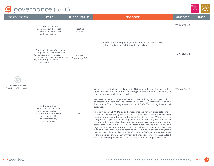



| <b>GOVERNANCE TOPIC</b> | <b>METRIC</b>                                                                                                                                                               | UNIT OF MEASURE           | <b>DISCLOSURE</b>                                                                                                | SASB CODE    | UN SDG |
|-------------------------|-----------------------------------------------------------------------------------------------------------------------------------------------------------------------------|---------------------------|------------------------------------------------------------------------------------------------------------------|--------------|--------|
|                         | Total amount of monetary<br>loses as a result of legal<br>proceedings associated<br>with user privacy                                                                       | Reporting<br>currency     |                                                                                                                  | TC-SI-220a.3 |        |
|                         | (1) Number of law enforcement<br>requests for user information,<br>(2) number of users whose<br>information was requested, and<br>(3) percentage resulting<br>in disclosure | Number,<br>Percentage (%) | We have not been a part of, or been involved in, any material<br>legal proceedings associated with user privacy. | TC-SI-220a.4 |        |



Freedom of Expression

List of countries where core products or services are subject to government-required monitoring, blocking, content filtering, or censoring

TC-SI-220a.5 We are committed to complying with U.S. economic sanctions and other applicable laws and regulations regarding economic sanctions that apply to our operations, products and services

We have in place a comprehensive Compliance Program that particularly addresses our obligation to comply with the U.S. Department of the Treasury's Office of Foreign Assets Control ("OFAC") lists, regulations and guidance.

N/A

Pursuant to our OFAC Policy and procedures, we have in place software to screen our data bases against the OFAC lists in order to ensure there are no names in our data bases that match the OFAC lists. We also have safeguards in place to block any transactions that may be required to comply with applicable law and regulation. We continually monitor compliance with our OFAC Policy, procedures and relevant laws and regulations to ensure that we do not do business or conduct transactions with any of the individuals or companies listed in the Specially Designated Nationals and Blocked Persons List (SDNs) or OFAC-sanctioned countries without appropriate U.S. Government authorizations, and if necessary, lead efforts to investigate, correct, and disclose sanctions compliance failures.

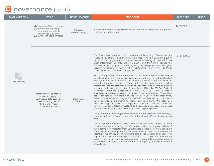

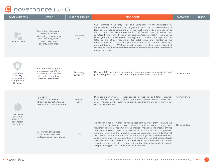| <b>GOVERNANCE TOPIC</b>                                               | <b>METRIC</b>                                                                                                                                   | UNIT OF MEASURE       | <b>DISCLOSURE</b>                                                                                                                                                                                                                                                                                                                                                                                                                                                                                                                                                                                                                                                                                                                                                                                   | <b>SASB CODE</b> | <b>UN SDG</b> |
|-----------------------------------------------------------------------|-------------------------------------------------------------------------------------------------------------------------------------------------|-----------------------|-----------------------------------------------------------------------------------------------------------------------------------------------------------------------------------------------------------------------------------------------------------------------------------------------------------------------------------------------------------------------------------------------------------------------------------------------------------------------------------------------------------------------------------------------------------------------------------------------------------------------------------------------------------------------------------------------------------------------------------------------------------------------------------------------------|------------------|---------------|
| <b>Data Security</b>                                                  | Description of approach<br>to identifying and<br>addressing data security<br>risks, including use of<br>third-party cyber<br>security standards | Discussion,<br>Link   | Our Information Security Risk and Compliance team, composed by<br>employees and members of management, performs risk assessments at<br>least once a year to determine Evertec's level of maturity in comparison to<br>third party frameworks such as the PCI DSS (to which we are certified and<br>registered vendor), the FFIEC Cyber Security Assessment (CAT) tool and the<br>NIST Cyber Security Framework, among others. The Board has appointed the<br>CISO as the officer responsible for establishing and maintaining the<br>enterprise vision, strategy and program to ensure information assets are<br>adequately protected. We have security measures in place to protect against<br>the loss, misuse, unauthorized modification or destruction of the information<br>under our control. |                  |               |
| Intellectual<br>Property<br>Protection and<br>Competitive<br>Behavior | Total amount of monetary<br>loses as a result of legal<br>proceedings associated<br>with anti-competitive<br>behavior regulations               | Reporting<br>currency | During 2020 there were no material monetary losses as a result of legal<br>proceedings associated with anti-competitive behavior regulations.                                                                                                                                                                                                                                                                                                                                                                                                                                                                                                                                                                                                                                                       | TC-SI-520a.1     |               |
| Managing<br>Systemic<br>Risks from<br>Technology<br>Disruptions       | Number of:<br>(1) performance issues,<br>(2) service disruptions, and<br>(3) total customer downtime                                            | Number,<br>days       | Minimizing performance issues, service disruptions, and total customer<br>downtime is core to our business. We monitor these metrics, review with<br>senior management regularly and provide reporting to our customer on our<br>service levels results.                                                                                                                                                                                                                                                                                                                                                                                                                                                                                                                                            | TC-SI-550a.1     |               |
|                                                                       | Description of business<br>continuity risks related<br>to disruptions of operations                                                             | N/A                   | We have in place a comprehensive business continuity program to ensure the<br>continuation of mission critical business functions and to comply with<br>regulatory requirements. Our internal incident management process strives<br>to restore services to an acceptable operational state as quickly as possible.<br>We work to minimize the impact on business operations. In consideration of<br>this, performance level metrics on incident management are reviewed with<br>senior management on a regular basis. To ensure that the best possible levels<br>of service quality and availability are maintained, we have in place escalation<br>procedures and an incident response team handling initial incident analysis<br>and performing service restorations when needed.                | TC-SI-550a.2     |               |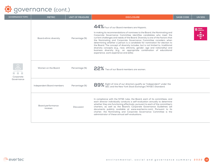

| <b>GOVERNANCE TOPIC</b>                  | <b>METRIC</b>                | <b>UNIT OF MEASURE</b> | <b>DISCLOSURE</b>                                                                                                                                                                                                                                                                                                                                                                                                                                                                                                                                                                                                                                                                                                         | <b>SASB CODE</b> | <b>UN SDG</b> |
|------------------------------------------|------------------------------|------------------------|---------------------------------------------------------------------------------------------------------------------------------------------------------------------------------------------------------------------------------------------------------------------------------------------------------------------------------------------------------------------------------------------------------------------------------------------------------------------------------------------------------------------------------------------------------------------------------------------------------------------------------------------------------------------------------------------------------------------------|------------------|---------------|
| $\frac{8}{1}$<br>Corporate<br>Governance | Board ethnic diversity       | Percentage (%)         | 44% Four of our Board members are Hispanic.<br>In making its recommendations of nominees to the Board, the Nominating and<br>Corporate Governance Committee identifies candidates who meet the<br>current challenges and needs of the Board. Diversity is one of the factors that<br>the Nominating and Corporate Governance Committee considers when<br>determining whether a person is a candidate for nomination for election to<br>the Board. The concept of diversity includes, but is not limited to, traditional<br>diversity concepts (e.g., race, ethnicity, gender, age and nationality) and<br>business diversity (e.g., an appropriate combination of educational<br>experience, work experience and skills). |                  | 10 MERCES     |
|                                          | Women on the Board           | Percentage (%)         | 22% Two of our Board members are women.                                                                                                                                                                                                                                                                                                                                                                                                                                                                                                                                                                                                                                                                                   |                  |               |
|                                          | Independent Board members    | Percentage (%)         | 89% Eight of nine of our directors qualify as "independent" under the SEC and the New York Stock Exchange ("NYSE") Standard.                                                                                                                                                                                                                                                                                                                                                                                                                                                                                                                                                                                              |                  |               |
|                                          | Board performance<br>reviews | <b>Discussion</b>      | In compliance with the NYSE rules, the Board, each of its committees, and<br>each director individually conducts a self-evaluation annually to determine<br>whether they are functioning effectively, pursuant to each of the committee's<br>charters, as well as the Board's Corporate Governance Guidelines (all<br>documents publicly available at www.evertecinc.com). Pursuant to its<br>charter, the Nominating and Corporate Governance Committee is the<br>administrator of these annual self-evaluations.                                                                                                                                                                                                        |                  |               |

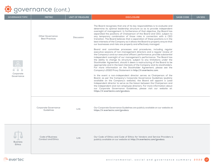| <b>GOVERNANCE TOPIC</b>          | <b>METRIC</b>                                    | <b>UNIT OF MEASURE</b> | <b>DISCLOSURE</b>                                                                                                                                                                                                                                                                                                                                                                                                                                                                                                                                                                                                                                                                                                                                                                                                                                                                                                                                                                                                                                                                                                                                                                                                                                                                                                                                                                                                                                     | <b>SASB CODE</b> | <b>UN SDG</b> |
|----------------------------------|--------------------------------------------------|------------------------|-------------------------------------------------------------------------------------------------------------------------------------------------------------------------------------------------------------------------------------------------------------------------------------------------------------------------------------------------------------------------------------------------------------------------------------------------------------------------------------------------------------------------------------------------------------------------------------------------------------------------------------------------------------------------------------------------------------------------------------------------------------------------------------------------------------------------------------------------------------------------------------------------------------------------------------------------------------------------------------------------------------------------------------------------------------------------------------------------------------------------------------------------------------------------------------------------------------------------------------------------------------------------------------------------------------------------------------------------------------------------------------------------------------------------------------------------------|------------------|---------------|
| Corporate<br>Governance          | <b>Other Governance</b><br><b>Best Practices</b> | Discussion             | The Board recognizes that one of its key responsibilities is to evaluate and<br>determine its optimal leadership structure so as to provide independent<br>oversight of management. In furtherance of that objective, the Board has<br>separated the positions of Chairperson of the Board and CEO, subject to<br>any temporary combination of those roles in connection with a CEO<br>transition. The Board believes that a separation of these positions is in the<br>best interests of the Company as it allows the Board to properly ensure that<br>our businesses and risks are properly and effectively managed.<br>Board and committee processes and procedures, including regular<br>executive sessions of non-management directors and a regular review of<br>the Company's and our executive officers' performance, provide substantial<br>independent oversight of our management's performance. The Board has<br>the ability to change its structure, subject to any limitations under the<br>Stockholder Agreement, should it deem a restructuring of the Board to be<br>appropriate and in the best interests of the Company and its stockholders.<br>For more information on the Stockholder Agreement, please see the<br>Company's 2022 Proxy Statement in http://ir.evertecinc.com.<br>In the event a non-independent director serves as Chairperson of the<br>Board, as per the Company's Corporate Governance Guidelines (publicly |                  |               |
|                                  |                                                  |                        | available on the Company's website), the Board will appoint a Lead<br>Independent director to serve as the liaison between the Chairperson and<br>the independent and non-employee directors. For more information about<br>our Corporate Governance Guidelines, please visit our website at:<br>https://ir.evertecinc.com/govdocs.                                                                                                                                                                                                                                                                                                                                                                                                                                                                                                                                                                                                                                                                                                                                                                                                                                                                                                                                                                                                                                                                                                                   |                  |               |
|                                  | Corporate Governance<br>Guidelines               | Link                   | Our Corporate Governance Guidelines are publicly available on our website at:<br>https://ir.evertecinc.com/govdocs.                                                                                                                                                                                                                                                                                                                                                                                                                                                                                                                                                                                                                                                                                                                                                                                                                                                                                                                                                                                                                                                                                                                                                                                                                                                                                                                                   |                  |               |
| <b>Business</b><br><b>Ethics</b> | <b>Code of Business</b><br>Conduct and Ethics    | Link                   | Our Code of Ethics and Code of Ethics for Vendors and Service Providers is<br>publicly available on our website at: http://ir.evertecinc.com/govdocs.                                                                                                                                                                                                                                                                                                                                                                                                                                                                                                                                                                                                                                                                                                                                                                                                                                                                                                                                                                                                                                                                                                                                                                                                                                                                                                 |                  |               |

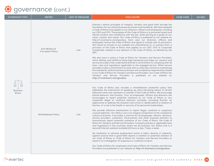| <b>GOVERNANCE TOPIC</b>   | <b>METRIC</b>                              | <b>UNIT OF MEASURE</b> | <b>DISCLOSURE</b>                                                                                                                                                                                                                                                                                                                                                                                                                                                                                                                                                                                                                                                                                                                                                                                                                                                                                                                                                                                                                                                                                                                                                                                                                                                                                                                                                                                                                                                                                                                                                                                                                                                                                                                                                                 | <b>SASB CODE</b> | UN SDG |
|---------------------------|--------------------------------------------|------------------------|-----------------------------------------------------------------------------------------------------------------------------------------------------------------------------------------------------------------------------------------------------------------------------------------------------------------------------------------------------------------------------------------------------------------------------------------------------------------------------------------------------------------------------------------------------------------------------------------------------------------------------------------------------------------------------------------------------------------------------------------------------------------------------------------------------------------------------------------------------------------------------------------------------------------------------------------------------------------------------------------------------------------------------------------------------------------------------------------------------------------------------------------------------------------------------------------------------------------------------------------------------------------------------------------------------------------------------------------------------------------------------------------------------------------------------------------------------------------------------------------------------------------------------------------------------------------------------------------------------------------------------------------------------------------------------------------------------------------------------------------------------------------------------------|------------------|--------|
| <b>Business</b><br>Ethics | Anti-Bribery &<br><b>Corruption Policy</b> | Link                   | Evertec's ethical principles of integrity, honesty and good faith provide the<br>foundation for our ethical business practices and standards. We have adopted<br>a Code of Ethics that applies to our directors, officers and employees, including<br>our CEO and CFO. The purpose of this Code of Ethics is to promote honest and<br>ethical conduct and compliance with the law, while serving as a guide on our<br>vision, mission and values. Our Code of Ethics is published on our website at:<br>http://ir.evertecinc.com/govdocs. Each year our directors, officers and<br>employees receive the Code of Ethics and agree to comply with its provisions.<br>We intend to include on our website any amendments to, or waivers from, a<br>provision of the Code of Ethics that applies to our CEO, CFO or Corporate<br>Comptroller related to any element of the Code of Ethics, as defined by the<br>SEC.<br>We also have in place a Code of Ethics for Vendors and Service Providers,<br>which defines and reaffirms these high standards and helps our vendors and<br>service providers fully understand Evertec's commitment to complying with all<br>laws, rules and regulations applicable to the engaged service. When service<br>providers make a commitment to work with us, they also commit to maintaining<br>the standards, ethical business practices and compliance requirements stated<br>in our Code of Ethics for Vendors and Service Providers. Our Code of Ethics for<br>Vendors and Service Providers is published on our website at:<br>http://ir.evertecinc.com/govdocs.                                                                                                                                                                             |                  |        |
|                           | <b>Whistleblower Policy</b>                | Link                   | Our Code of Ethics also includes a whistleblower protection policy that<br>addresses the importance of speaking up when becoming aware of certain<br>behaviors that may represent a violation of the Code of Ethics. We encourage<br>ethical behavior and honesty. Thus, all employees, officers and directors are<br>encouraged to report potential violations to our Code of Ethics or any<br>suspected illegal or unethical behavior promptly, providing Evertec an<br>opportunity to address the situation and correct it, ideally before a violation of<br>the law, or a risk to the health or security of its personnel materializes.<br>We provide effective mechanisms to report illegal, unethical or suspicious<br>unusual behavior. Our Ethics Line is an integral component of the compliance<br>culture at Evertec. It provides a channel for all employees, officers, directors,<br>service providers, customers, third-parties and other business partners to<br>anonymously report potential violations of our Code of Ethics, the Code of<br>Ethics for Vendors and Service Providers, Company policies or applicable laws<br>and regulations in the countries where we do business. Our Ethics Line is a<br>secured Internet website available 24 hours a day, 7 days a week.<br>No retaliation or adverse employment action is taken, directly or indirectly,<br>against anyone that in good faith reports a violation or potential violation of<br>our Code of Ethics or Code of Ethics for Vendors and Service Providers or<br>assist in an investigation of suspicious or unethical conduct.<br>Our Code of Ethics for employees and Code of Ethics for Vendors and Service<br>Providers are published on our website at: http://ir.evertecinc.com/govdocs. |                  |        |

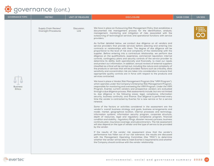| <b>GOVERNANCE TOPIC</b>          | <b>METRIC</b>                                | <b>UNIT OF MEASURE</b> | <b>DISCLOSURE</b>                                                                                                                                                                                                                                                                                                                                                                                                                                                                                                                                                                                                                                                                                                                                                                                                                                                                                                                                                                                                                                                                                                                                                                                                                                                                                                                                                                                                                                                                                                                                                                                                                                                                                                                                                                                                                                                                                                                                                                                                                                                                                                                                                                                                                                                                                                                                                                                                                                                                                                                                                                                                                                                                                                                                                                                                                                                                                                                                                                                                                                                                                                   | <b>SASB CODE</b> | <b>UN SDG</b>                                        |
|----------------------------------|----------------------------------------------|------------------------|---------------------------------------------------------------------------------------------------------------------------------------------------------------------------------------------------------------------------------------------------------------------------------------------------------------------------------------------------------------------------------------------------------------------------------------------------------------------------------------------------------------------------------------------------------------------------------------------------------------------------------------------------------------------------------------------------------------------------------------------------------------------------------------------------------------------------------------------------------------------------------------------------------------------------------------------------------------------------------------------------------------------------------------------------------------------------------------------------------------------------------------------------------------------------------------------------------------------------------------------------------------------------------------------------------------------------------------------------------------------------------------------------------------------------------------------------------------------------------------------------------------------------------------------------------------------------------------------------------------------------------------------------------------------------------------------------------------------------------------------------------------------------------------------------------------------------------------------------------------------------------------------------------------------------------------------------------------------------------------------------------------------------------------------------------------------------------------------------------------------------------------------------------------------------------------------------------------------------------------------------------------------------------------------------------------------------------------------------------------------------------------------------------------------------------------------------------------------------------------------------------------------------------------------------------------------------------------------------------------------------------------------------------------------------------------------------------------------------------------------------------------------------------------------------------------------------------------------------------------------------------------------------------------------------------------------------------------------------------------------------------------------------------------------------------------------------------------------------------------------|------------------|------------------------------------------------------|
| <b>Business</b><br><b>Ethics</b> | Supply Chain Review/<br>Oversight Procedures | Discussion,<br>Link    | We have in place an Outsourcing Risk Management Policy that establishes a<br>documented risk management process for the identification, analysis,<br>management, monitoring and mitigation of risks associated with the<br>outsourcing of technological services and operational functions with service<br>providers.<br>As further detailed below, we conduct due diligence on all vendors and<br>service providers that provide services before selecting and entering into<br>contracts or relationships with them. The degree of due diligence will be<br>proportional to the level of risk and complexity of the relationship with the<br>supplier. Before entering into a contractual relationship, we perform due<br>diligence on the qualifications, experience, commercial reputation, internal<br>controls, contingency plans and security controls of the service provider to<br>determine its ability, both operationally and financially, to meet our needs<br>and protect our information. In addition, annual reviews of external suppliers<br>classified as critical will be carried out, including the nature and complexity of<br>the products or services that will be provided: factors such as criticality, data<br>sensitivity and concentration risk are taken into consideration to ensure that<br>appropriate quality controls are in force with respect to the products and<br>services contracted.<br>We have in place a Vendor Risk Management Program (the "VRM Program"),<br>which operates under the Company's Enterprise Risk Management Program,<br>responsible for monitoring and overseeing the VRM Program. Under the VRM<br>Program, Evertec current vendors and prospective vendors are evaluated<br>through a due diligence process. Risk assessments include, but are not limited<br>to, due diligence in the following areas: legal, compliance, information<br>security, business continuity, and finance. Due diligence is performed every<br>time the vendor is contracted by Evertec for a new service or for a service<br>renewal.<br>Some of the factors or activities considered in the assessment are the<br>vendor's: overall business strategy and goals, business arrangements and<br>model, market, geographical location, internal processes and technology,<br>information systems, information security program, corporate structure,<br>depth of resources, legal and regulatory compliance program, financial<br>condition and stability, regulatory filings, disaster recovery process, business<br>continuity plan, insurance coverage, and subcontractors. The risk assessment<br>will also depend on the type of vendor and the type of service to be provided<br>by the vendor.<br>If the results of the vendor risk assessment show that the vendor's<br>performance has fallen out of our risk tolerance, the results are discussed<br>with the Management Operating Committee (the "MOC") to determine<br>whether the vendor will be able to meet Evertec's requirements and whether<br>the Company should continue with the vendor relationship. |                  | <b>2</b> RESPONSIBLE<br>CONSUMPTION<br>AND PRODUCTIC |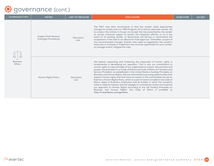| <b>GOVERNANCE TOPIC</b>          | <b>METRIC</b>                                | <b>UNIT OF MEASURE</b> | <b>DISCLOSURE</b>                                                                                                                                                                                                                                                                                                                                                                                                                                                                                                                                                                                                                                                                                                                                                                                                                                                                                                                                                                                  | <b>SASB CODE</b> | <b>UN SDG</b> |
|----------------------------------|----------------------------------------------|------------------------|----------------------------------------------------------------------------------------------------------------------------------------------------------------------------------------------------------------------------------------------------------------------------------------------------------------------------------------------------------------------------------------------------------------------------------------------------------------------------------------------------------------------------------------------------------------------------------------------------------------------------------------------------------------------------------------------------------------------------------------------------------------------------------------------------------------------------------------------------------------------------------------------------------------------------------------------------------------------------------------------------|------------------|---------------|
| <b>Business</b><br><b>Ethics</b> | Supply Chain Review/<br>Oversight Procedures | Discussion.<br>Link    | The MOC may then recommend: (i) that the vendor make appropriate<br>changes to comply with our VRM Program, (ii) to find an alternate vendor, (iii)<br>to conduct the activity in-house, (iv) accept the risk presented by the vendor<br>(in certain instances subject to certain risk mitigation efforts), or (v) in the<br>event of an existing vendor, to discontinue the service or recommend the<br>acceptance of the task to our Board for final approval. Thereafter, as part of<br>any recommended changes, Evertec may need to supplement the vendor's<br>resources or increase or implement new controls, specifically for such vendor,<br>to manage and/or mitigate the risks.                                                                                                                                                                                                                                                                                                          |                  |               |
|                                  | Human Rights Policy                          | Discussion.<br>Link    | We believe respecting and furthering the enjoyment of human rights is<br>fundamental in developing our operation. That is why our commitment to<br>human rights is a key principle of our organizational culture. We promote and<br>protect this principle in our Code of Ethics and Code of Ethics for Vendors and<br>Service Providers, as established in the United Nations Guiding Principles on<br>Business and Human Rights. We are committed to pursuing opportunities that<br>support human rights and that have an impact in the communities we serve.<br>Evertec's Human Rights Policy, which is a part of and is included in the Code of<br>Ethics, apply to Evertec's employees and all entities in which the Company<br>holds a majority interest. Evertec pledges to consistently review and improve<br>our approach to Human Rights according to the UN Guiding Principles on<br>Business and Human Rights. Our Code of Ethics is available at<br>http://ir.evertecinc.com/govdocs. |                  |               |